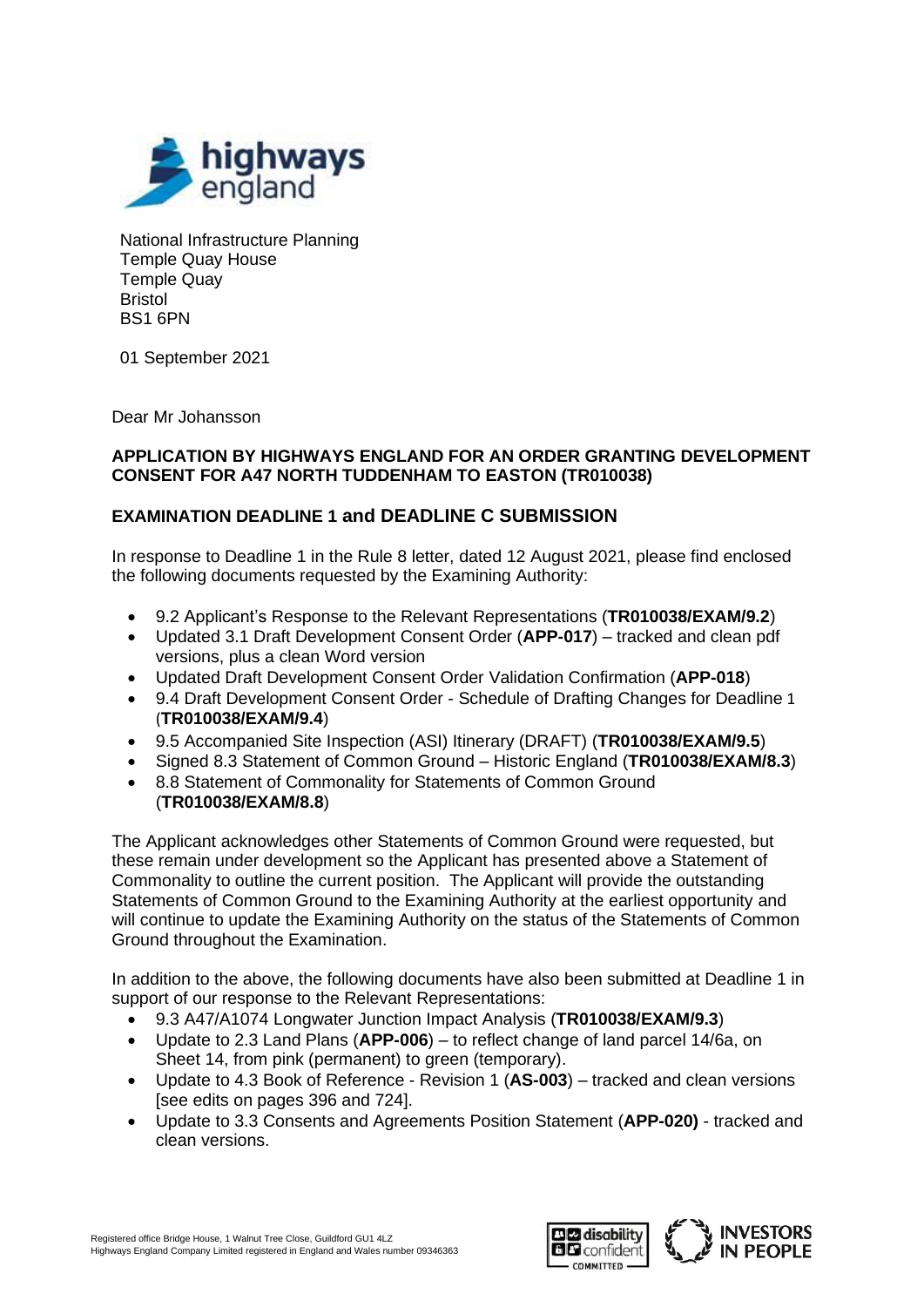

National Infrastructure Planning Temple Quay House Temple Quay Bristol BS1 6PN

01 September 2021

Dear Mr Johansson

## **APPLICATION BY HIGHWAYS ENGLAND FOR AN ORDER GRANTING DEVELOPMENT CONSENT FOR A47 NORTH TUDDENHAM TO EASTON (TR010038)**

## **EXAMINATION DEADLINE 1 and DEADLINE C SUBMISSION**

In response to Deadline 1 in the Rule 8 letter, dated 12 August 2021, please find enclosed the following documents requested by the Examining Authority:

- 9.2 Applicant's Response to the Relevant Representations (**TR010038/EXAM/9.2**)
- Updated 3.1 Draft Development Consent Order (**APP-017**) tracked and clean pdf versions, plus a clean Word version
- Updated Draft Development Consent Order Validation Confirmation (**APP-018**)
- 9.4 Draft Development Consent Order Schedule of Drafting Changes for Deadline 1 (**TR010038/EXAM/9.4**)
- 9.5 Accompanied Site Inspection (ASI) Itinerary (DRAFT) (**TR010038/EXAM/9.5**)
- Signed 8.3 Statement of Common Ground Historic England (**TR010038/EXAM/8.3**)
- 8.8 Statement of Commonality for Statements of Common Ground (**TR010038/EXAM/8.8**)

The Applicant acknowledges other Statements of Common Ground were requested, but these remain under development so the Applicant has presented above a Statement of Commonality to outline the current position. The Applicant will provide the outstanding Statements of Common Ground to the Examining Authority at the earliest opportunity and will continue to update the Examining Authority on the status of the Statements of Common Ground throughout the Examination.

In addition to the above, the following documents have also been submitted at Deadline 1 in support of our response to the Relevant Representations:

- 9.3 A47/A1074 Longwater Junction Impact Analysis (**TR010038/EXAM/9.3**)
- Update to 2.3 Land Plans (**APP-006**) to reflect change of land parcel 14/6a, on Sheet 14, from pink (permanent) to green (temporary).
- Update to 4.3 Book of Reference Revision 1 (**AS-003**) tracked and clean versions [see edits on pages 396 and 724].
- Update to 3.3 Consents and Agreements Position Statement (**APP-020)** tracked and clean versions.